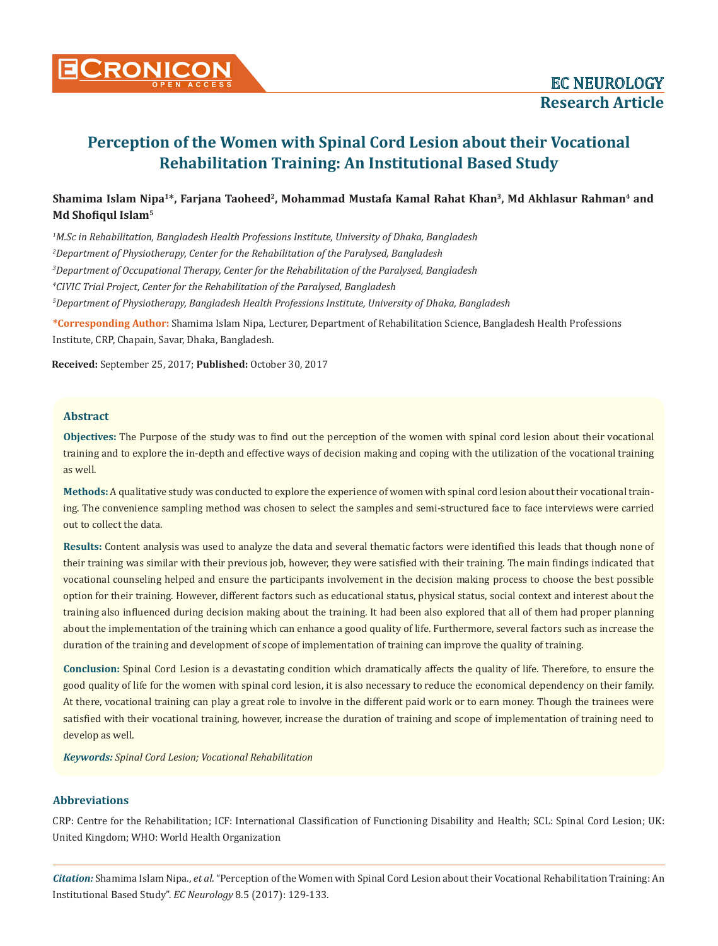

# **Perception of the Women with Spinal Cord Lesion about their Vocational Rehabilitation Training: An Institutional Based Study**

## **Shamima Islam Nipa1\*, Farjana Taoheed2, Mohammad Mustafa Kamal Rahat Khan3, Md Akhlasur Rahman4 and Md Shofiqul Islam<sup>5</sup>**

 *M.Sc in Rehabilitation, Bangladesh Health Professions Institute, University of Dhaka, Bangladesh Department of Physiotherapy, Center for the Rehabilitation of the Paralysed, Bangladesh Department of Occupational Therapy, Center for the Rehabilitation of the Paralysed, Bangladesh CIVIC Trial Project, Center for the Rehabilitation of the Paralysed, Bangladesh Department of Physiotherapy, Bangladesh Health Professions Institute, University of Dhaka, Bangladesh*

**\*Corresponding Author:** Shamima Islam Nipa, Lecturer, Department of Rehabilitation Science, Bangladesh Health Professions Institute, CRP, Chapain, Savar, Dhaka, Bangladesh.

**Received:** September 25, 2017; **Published:** October 30, 2017

## **Abstract**

**Objectives:** The Purpose of the study was to find out the perception of the women with spinal cord lesion about their vocational training and to explore the in-depth and effective ways of decision making and coping with the utilization of the vocational training as well.

**Methods:** A qualitative study was conducted to explore the experience of women with spinal cord lesion about their vocational training. The convenience sampling method was chosen to select the samples and semi-structured face to face interviews were carried out to collect the data.

**Results:** Content analysis was used to analyze the data and several thematic factors were identified this leads that though none of their training was similar with their previous job, however, they were satisfied with their training. The main findings indicated that vocational counseling helped and ensure the participants involvement in the decision making process to choose the best possible option for their training. However, different factors such as educational status, physical status, social context and interest about the training also influenced during decision making about the training. It had been also explored that all of them had proper planning about the implementation of the training which can enhance a good quality of life. Furthermore, several factors such as increase the duration of the training and development of scope of implementation of training can improve the quality of training.

**Conclusion:** Spinal Cord Lesion is a devastating condition which dramatically affects the quality of life. Therefore, to ensure the good quality of life for the women with spinal cord lesion, it is also necessary to reduce the economical dependency on their family. At there, vocational training can play a great role to involve in the different paid work or to earn money. Though the trainees were satisfied with their vocational training, however, increase the duration of training and scope of implementation of training need to develop as well.

*Keywords: Spinal Cord Lesion; Vocational Rehabilitation*

## **Abbreviations**

CRP: Centre for the Rehabilitation; ICF: International Classification of Functioning Disability and Health; SCL: Spinal Cord Lesion; UK: United Kingdom; WHO: World Health Organization

*Citation:* Shamima Islam Nipa., *et al*. "Perception of the Women with Spinal Cord Lesion about their Vocational Rehabilitation Training: An Institutional Based Study". *EC Neurology* 8.5 (2017): 129-133.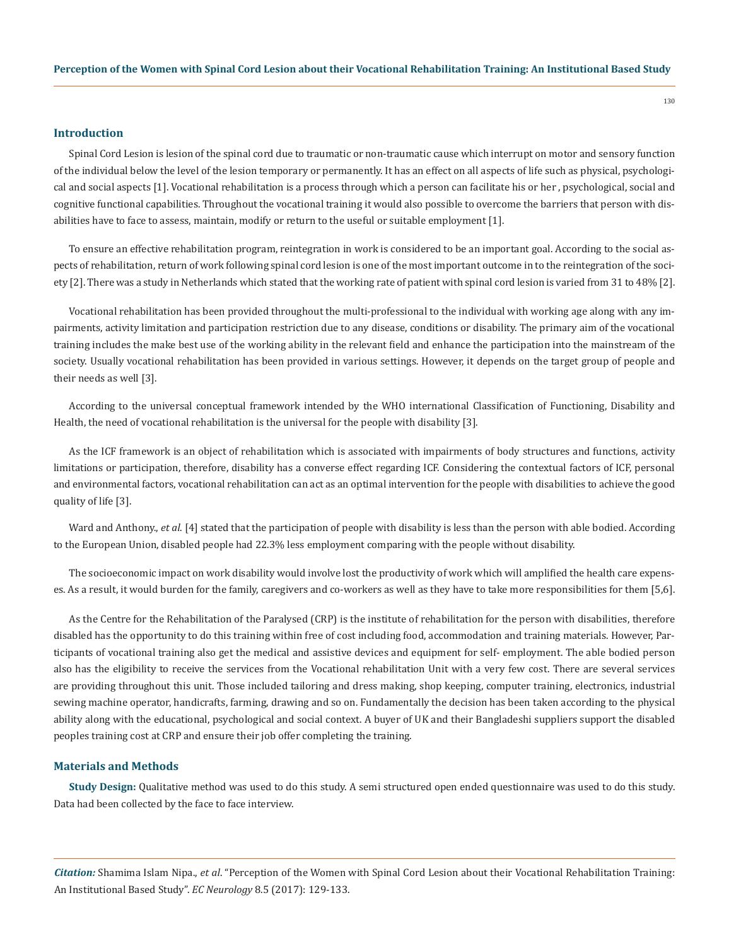## **Introduction**

Spinal Cord Lesion is lesion of the spinal cord due to traumatic or non-traumatic cause which interrupt on motor and sensory function of the individual below the level of the lesion temporary or permanently. It has an effect on all aspects of life such as physical, psychological and social aspects [1]. Vocational rehabilitation is a process through which a person can facilitate his or her , psychological, social and cognitive functional capabilities. Throughout the vocational training it would also possible to overcome the barriers that person with disabilities have to face to assess, maintain, modify or return to the useful or suitable employment [1].

To ensure an effective rehabilitation program, reintegration in work is considered to be an important goal. According to the social aspects of rehabilitation, return of work following spinal cord lesion is one of the most important outcome in to the reintegration of the society [2]. There was a study in Netherlands which stated that the working rate of patient with spinal cord lesion is varied from 31 to 48% [2].

Vocational rehabilitation has been provided throughout the multi-professional to the individual with working age along with any impairments, activity limitation and participation restriction due to any disease, conditions or disability. The primary aim of the vocational training includes the make best use of the working ability in the relevant field and enhance the participation into the mainstream of the society. Usually vocational rehabilitation has been provided in various settings. However, it depends on the target group of people and their needs as well [3].

According to the universal conceptual framework intended by the WHO international Classification of Functioning, Disability and Health, the need of vocational rehabilitation is the universal for the people with disability [3].

As the ICF framework is an object of rehabilitation which is associated with impairments of body structures and functions, activity limitations or participation, therefore, disability has a converse effect regarding ICF. Considering the contextual factors of ICF, personal and environmental factors, vocational rehabilitation can act as an optimal intervention for the people with disabilities to achieve the good quality of life [3].

Ward and Anthony, *et al.* [4] stated that the participation of people with disability is less than the person with able bodied. According to the European Union, disabled people had 22.3% less employment comparing with the people without disability.

The socioeconomic impact on work disability would involve lost the productivity of work which will amplified the health care expenses. As a result, it would burden for the family, caregivers and co-workers as well as they have to take more responsibilities for them [5,6].

As the Centre for the Rehabilitation of the Paralysed (CRP) is the institute of rehabilitation for the person with disabilities, therefore disabled has the opportunity to do this training within free of cost including food, accommodation and training materials. However, Participants of vocational training also get the medical and assistive devices and equipment for self- employment. The able bodied person also has the eligibility to receive the services from the Vocational rehabilitation Unit with a very few cost. There are several services are providing throughout this unit. Those included tailoring and dress making, shop keeping, computer training, electronics, industrial sewing machine operator, handicrafts, farming, drawing and so on. Fundamentally the decision has been taken according to the physical ability along with the educational, psychological and social context. A buyer of UK and their Bangladeshi suppliers support the disabled peoples training cost at CRP and ensure their job offer completing the training.

## **Materials and Methods**

**Study Design:** Qualitative method was used to do this study. A semi structured open ended questionnaire was used to do this study. Data had been collected by the face to face interview.

*Citation:* Shamima Islam Nipa., *et al*. "Perception of the Women with Spinal Cord Lesion about their Vocational Rehabilitation Training: An Institutional Based Study". *EC Neurology* 8.5 (2017): 129-133.

130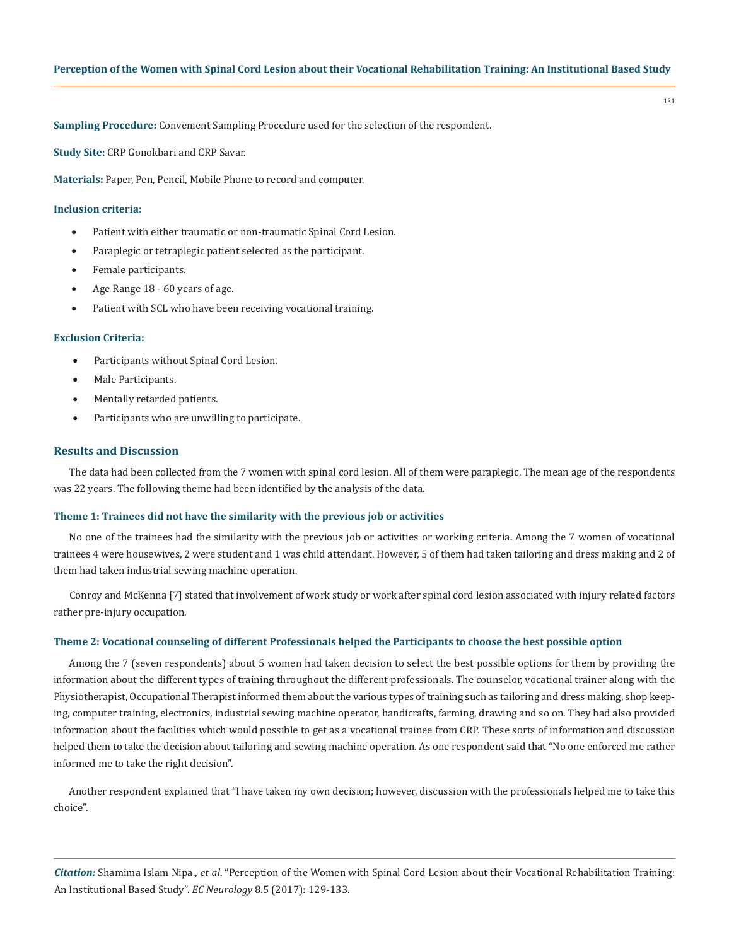**Sampling Procedure:** Convenient Sampling Procedure used for the selection of the respondent.

**Study Site:** CRP Gonokbari and CRP Savar.

**Materials:** Paper, Pen, Pencil, Mobile Phone to record and computer.

## **Inclusion criteria:**

- Patient with either traumatic or non-traumatic Spinal Cord Lesion.
- • Paraplegic or tetraplegic patient selected as the participant.
- Female participants.
- Age Range 18 60 years of age.
- Patient with SCL who have been receiving vocational training.

#### **Exclusion Criteria:**

- Participants without Spinal Cord Lesion.
- • Male Participants.
- • Mentally retarded patients.
- • Participants who are unwilling to participate.

#### **Results and Discussion**

The data had been collected from the 7 women with spinal cord lesion. All of them were paraplegic. The mean age of the respondents was 22 years. The following theme had been identified by the analysis of the data.

#### **Theme 1: Trainees did not have the similarity with the previous job or activities**

No one of the trainees had the similarity with the previous job or activities or working criteria. Among the 7 women of vocational trainees 4 were housewives, 2 were student and 1 was child attendant. However, 5 of them had taken tailoring and dress making and 2 of them had taken industrial sewing machine operation.

Conroy and McKenna [7] stated that involvement of work study or work after spinal cord lesion associated with injury related factors rather pre-injury occupation.

#### **Theme 2: Vocational counseling of different Professionals helped the Participants to choose the best possible option**

Among the 7 (seven respondents) about 5 women had taken decision to select the best possible options for them by providing the information about the different types of training throughout the different professionals. The counselor, vocational trainer along with the Physiotherapist, Occupational Therapist informed them about the various types of training such as tailoring and dress making, shop keeping, computer training, electronics, industrial sewing machine operator, handicrafts, farming, drawing and so on. They had also provided information about the facilities which would possible to get as a vocational trainee from CRP. These sorts of information and discussion helped them to take the decision about tailoring and sewing machine operation. As one respondent said that "No one enforced me rather informed me to take the right decision".

Another respondent explained that "I have taken my own decision; however, discussion with the professionals helped me to take this choice".

*Citation:* Shamima Islam Nipa., *et al*. "Perception of the Women with Spinal Cord Lesion about their Vocational Rehabilitation Training: An Institutional Based Study". *EC Neurology* 8.5 (2017): 129-133.

131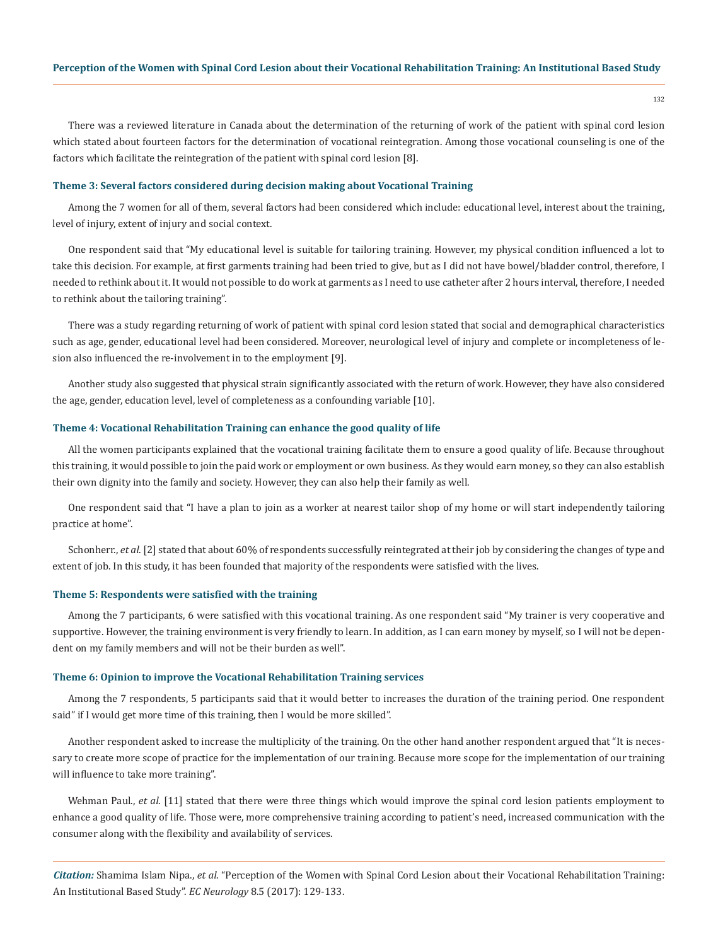132

There was a reviewed literature in Canada about the determination of the returning of work of the patient with spinal cord lesion which stated about fourteen factors for the determination of vocational reintegration. Among those vocational counseling is one of the factors which facilitate the reintegration of the patient with spinal cord lesion [8].

## **Theme 3: Several factors considered during decision making about Vocational Training**

Among the 7 women for all of them, several factors had been considered which include: educational level, interest about the training, level of injury, extent of injury and social context.

One respondent said that "My educational level is suitable for tailoring training. However, my physical condition influenced a lot to take this decision. For example, at first garments training had been tried to give, but as I did not have bowel/bladder control, therefore, I needed to rethink about it. It would not possible to do work at garments as I need to use catheter after 2 hours interval, therefore, I needed to rethink about the tailoring training".

There was a study regarding returning of work of patient with spinal cord lesion stated that social and demographical characteristics such as age, gender, educational level had been considered. Moreover, neurological level of injury and complete or incompleteness of lesion also influenced the re-involvement in to the employment [9].

Another study also suggested that physical strain significantly associated with the return of work. However, they have also considered the age, gender, education level, level of completeness as a confounding variable [10].

#### **Theme 4: Vocational Rehabilitation Training can enhance the good quality of life**

All the women participants explained that the vocational training facilitate them to ensure a good quality of life. Because throughout this training, it would possible to join the paid work or employment or own business. As they would earn money, so they can also establish their own dignity into the family and society. However, they can also help their family as well.

One respondent said that "I have a plan to join as a worker at nearest tailor shop of my home or will start independently tailoring practice at home".

Schonherr., *et al*. [2] stated that about 60% of respondents successfully reintegrated at their job by considering the changes of type and extent of job. In this study, it has been founded that majority of the respondents were satisfied with the lives.

#### **Theme 5: Respondents were satisfied with the training**

Among the 7 participants, 6 were satisfied with this vocational training. As one respondent said "My trainer is very cooperative and supportive. However, the training environment is very friendly to learn. In addition, as I can earn money by myself, so I will not be dependent on my family members and will not be their burden as well".

#### **Theme 6: Opinion to improve the Vocational Rehabilitation Training services**

Among the 7 respondents, 5 participants said that it would better to increases the duration of the training period. One respondent said" if I would get more time of this training, then I would be more skilled".

Another respondent asked to increase the multiplicity of the training. On the other hand another respondent argued that "It is necessary to create more scope of practice for the implementation of our training. Because more scope for the implementation of our training will influence to take more training".

Wehman Paul., *et al*. [11] stated that there were three things which would improve the spinal cord lesion patients employment to enhance a good quality of life. Those were, more comprehensive training according to patient's need, increased communication with the consumer along with the flexibility and availability of services.

*Citation:* Shamima Islam Nipa., *et al*. "Perception of the Women with Spinal Cord Lesion about their Vocational Rehabilitation Training: An Institutional Based Study". *EC Neurology* 8.5 (2017): 129-133.